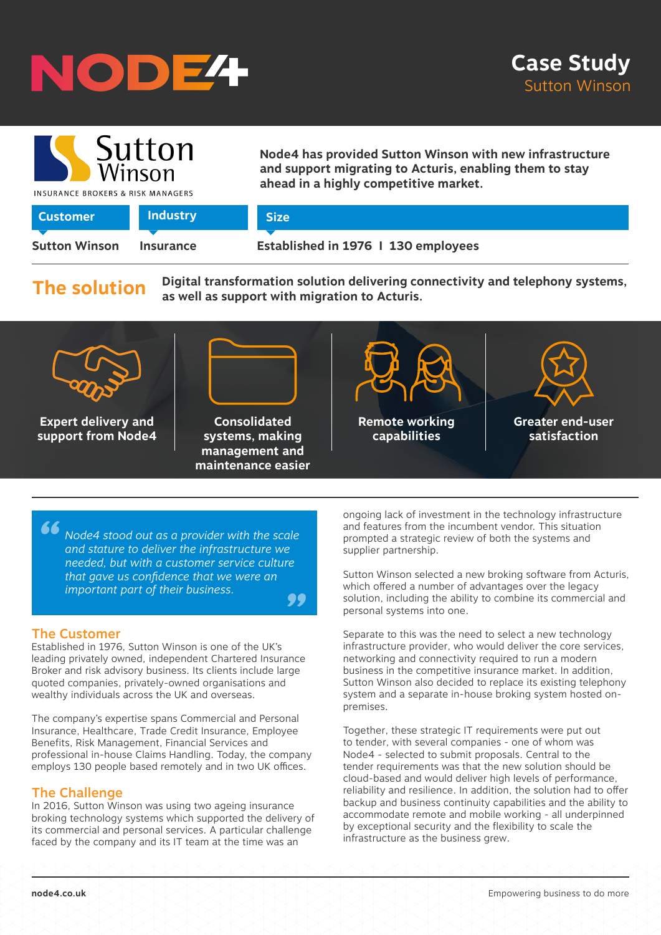



**Node4 has provided Sutton Winson with new infrastructure and support migrating to Acturis, enabling them to stay ahead in a highly competitive market.**

INSURANCE BROKERS & RISK MANAGERS

| <b>Customer</b>      | <b>Industry</b>  | <b>Size</b>                         |
|----------------------|------------------|-------------------------------------|
|                      |                  |                                     |
| <b>Sutton Winson</b> | <b>Insurance</b> | Established in 1976   130 employees |

**The solution**

**Digital transformation solution delivering connectivity and telephony systems, as well as support with migration to Acturis.** 



*" " Node4 stood out as a provider with the scale and stature to deliver the infrastructure we needed, but with a customer service culture that gave us confidence that we were an important part of their business.*

## The Customer

Established in 1976, Sutton Winson is one of the UK's leading privately owned, independent Chartered Insurance Broker and risk advisory business. Its clients include large quoted companies, privately-owned organisations and wealthy individuals across the UK and overseas.

The company's expertise spans Commercial and Personal Insurance, Healthcare, Trade Credit Insurance, Employee Benefits, Risk Management, Financial Services and professional in-house Claims Handling. Today, the company employs 130 people based remotely and in two UK offices.

## The Challenge

In 2016, Sutton Winson was using two ageing insurance broking technology systems which supported the delivery of its commercial and personal services. A particular challenge faced by the company and its IT team at the time was an

ongoing lack of investment in the technology infrastructure and features from the incumbent vendor. This situation prompted a strategic review of both the systems and supplier partnership.

Sutton Winson selected a new broking software from Acturis, which offered a number of advantages over the legacy solution, including the ability to combine its commercial and personal systems into one.

Separate to this was the need to select a new technology infrastructure provider, who would deliver the core services, networking and connectivity required to run a modern business in the competitive insurance market. In addition, Sutton Winson also decided to replace its existing telephony system and a separate in-house broking system hosted onpremises.

Together, these strategic IT requirements were put out to tender, with several companies - one of whom was Node4 - selected to submit proposals. Central to the tender requirements was that the new solution should be cloud-based and would deliver high levels of performance, reliability and resilience. In addition, the solution had to offer backup and business continuity capabilities and the ability to accommodate remote and mobile working - all underpinned by exceptional security and the flexibility to scale the infrastructure as the business grew.